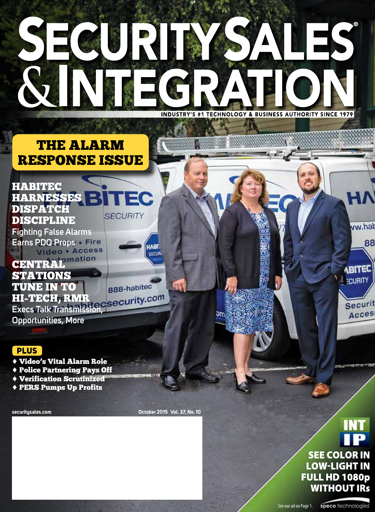# SEGURI ES  $\mathcal{S}_{\mathbf{r}}$ **INDUSTRY'S #1 TECHNOLOGY & BUSINESS AUTHORITY SINCE 1979**

### THE ALARM RESPONSE ISSUE



888-habitec

**CENTRAL**<sup>omation</sup> STATIONS TUNE IN TO HI-TECH, RMR **Execs Talk Transmission,** 

**Opportunities, More** 

#### PLUS

- ♦ Video's Vital Alarm Role
- ♦ Police Partnering Pays Off
- ♦ Verification Scrutinized
- ♦ PERS Pumps Up Profits

**securitysales.com October 2015 Vol. 37, No. 10**

n 1

эm

## **EXECUTE WITHOUT IRS** SEE COLOR IN **LOW-LIGHT IN** FULL HD 1080p

ww.hat

**ABITED ECURITY** 

Securit Acces

88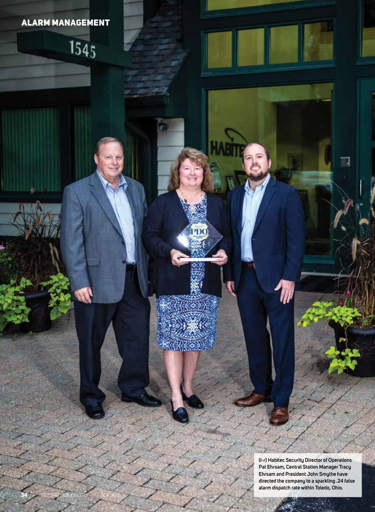#### ALARM MANAGEMENT

 $1545$ 

PD<sub>O</sub>

**34** SECURITYSALES.COM OCT 2015

**(***l-r***) Habitec Security Director of Operations Pat Ehrsam, Central Station Manager Tracy Ehrsam and President John Smythe have directed the company to a sparkling .24 false alarm dispatch rate within Toledo, Ohio.**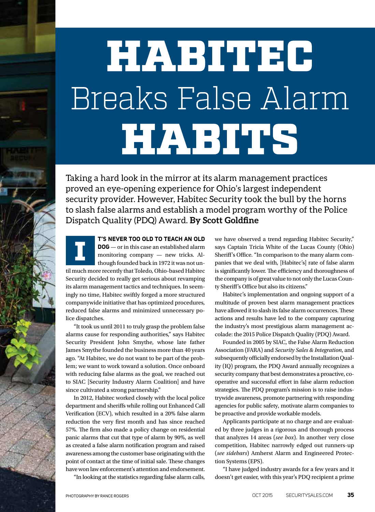# HABITEC Breaks False Alarm **HABITS**

Taking a hard look in the mirror at its alarm management practices proved an eye-opening experience for Ohio's largest independent security provider. However, Habitec Security took the bull by the horns to slash false alarms and establish a model program worthy of the Police Dispatch Quality (PDQ) Award. **By Scott Goldfine**



**T'S NEVER TOO OLD TO TEACH AN OLD** 

**DOG** — or in this case an established alarm monitoring company — new tricks. Although founded back in 1972 it was not until much more recently that Toledo, Ohio-based Habitec Security decided to really get serious about revamping its alarm management tactics and techniques. In seemingly no time, Habitec swiftly forged a more structured companywide initiative that has optimized procedures, reduced false alarms and minimized unnecessary police dispatches. I

"It took us until 2011 to truly grasp the problem false alarms cause for responding authorities," says Habitec Security President John Smythe, whose late father James Smythe founded the business more than 40 years ago. "At Habitec, we do not want to be part of the problem; we want to work toward a solution. Once onboard with reducing false alarms as the goal, we reached out to SIAC [Security Industry Alarm Coalition] and have since cultivated a strong partnership."

In 2012, Habitec worked closely with the local police department and sheriffs while rolling out Enhanced Call Verification (ECV), which resulted in a 20% false alarm reduction the very first month and has since reached 57%. The firm also made a policy change on residential panic alarms that cut that type of alarm by 90%, as well as created a false alarm notification program and raised awareness among the customer base originating with the point of contact at the time of initial sale. These changes have won law enforcement's attention and endorsement.

"In looking at the statistics regarding false alarm calls,

we have observed a trend regarding Habitec Security," says Captain Tricia White of the Lucas County (Ohio) Sheriff's Office. "In comparison to the many alarm companies that we deal with, [Habitec's] rate of false alarm is significantly lower. The efficiency and thoroughness of the company is of great value to not only the Lucas County Sheriff's Office but also its citizens."

Habitec's implementation and ongoing support of a multitude of proven best alarm management practices have allowed it to slash its false alarm occurrences. These actions and results have led to the company capturing the industry's most prestigious alarm management accolade: the 2015 Police Dispatch Quality (PDQ) Award.

Founded in 2005 by SIAC, the False Alarm Reduction Association (FARA) and *Security Sales & Integration*, and subsequently officially endorsed by the Installation Quality (IQ) program, the PDQ Award annually recognizes a security company that best demonstrates a proactive, cooperative and successful effort in false alarm reduction strategies. The PDQ program's mission is to raise industrywide awareness, promote partnering with responding agencies for public safety, motivate alarm companies to be proactive and provide workable models.

Applicants participate at no charge and are evaluated by three judges in a rigorous and thorough process that analyzes 14 areas (*see box*). In another very close competition, Habitec narrowly edged out runners-up (*see sidebars*) Amherst Alarm and Engineered Protection Systems (EPS).

"I have judged industry awards for a few years and it doesn't get easier, with this year's PDQ recipient a prime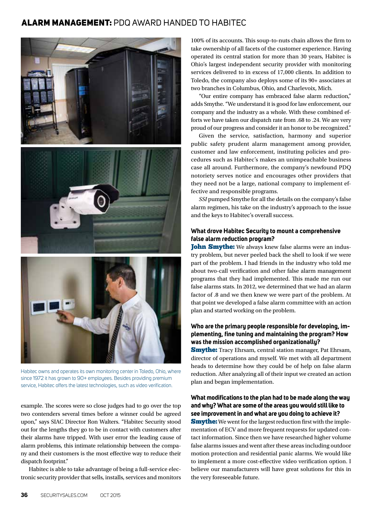#### ALARM MANAGEMENT: PDQ AWARD HANDED TO HABITEC



Habitec owns and operates its own monitoring center in Toledo, Ohio, where since 1972 it has grown to 90+ employees. Besides providing premium service, Habitec offers the latest technologies, such as video verification.

example. The scores were so close judges had to go over the top two contenders several times before a winner could be agreed upon," says SIAC Director Ron Walters. "Habitec Security stood out for the lengths they go to be in contact with customers after their alarms have tripped. With user error the leading cause of alarm problems, this intimate relationship between the company and their customers is the most effective way to reduce their dispatch footprint."

Habitec is able to take advantage of being a full-service electronic security provider that sells, installs, services and monitors 100% of its accounts. This soup-to-nuts chain allows the firm to take ownership of all facets of the customer experience. Having operated its central station for more than 30 years, Habitec is Ohio's largest independent security provider with monitoring services delivered to in excess of 17,000 clients. In addition to Toledo, the company also deploys some of its 90+ associates at two branches in Columbus, Ohio, and Charlevoix, Mich.

"Our entire company has embraced false alarm reduction," adds Smythe. "We understand it is good for law enforcement, our company and the industry as a whole. With these combined efforts we have taken our dispatch rate from .68 to .24. We are very proud of our progress and consider it an honor to be recognized."

Given the service, satisfaction, harmony and superior public safety prudent alarm management among provider, customer and law enforcement, instituting policies and procedures such as Habitec's makes an unimpeachable business case all around. Furthermore, the company's newfound PDQ notoriety serves notice and encourages other providers that they need not be a large, national company to implement effective and responsible programs.

*SSI* pumped Smythe for all the details on the company's false alarm regimen, his take on the industry's approach to the issue and the keys to Habitec's overall success.

#### **What drove Habitec Security to mount a comprehensive false alarm reduction program?**

**John Smythe:** We always knew false alarms were an industry problem, but never peeled back the shell to look if we were part of the problem. I had friends in the industry who told me about two-call verification and other false alarm management programs that they had implemented. This made me run our false alarms stats. In 2012, we determined that we had an alarm factor of .8 and we then knew we were part of the problem. At that point we developed a false alarm committee with an action plan and started working on the problem.

#### **Who are the primary people responsible for developing, implementing, fine tuning and maintaining the program? How was the mission accomplished organizationally?**

**Smythe:** Tracy Ehrsam, central station manager, Pat Ehrsam, director of operations and myself. We met with all department heads to determine how they could be of help on false alarm reduction. After analyzing all of their input we created an action plan and began implementation.

#### **What modifications to the plan had to be made along the way and why? What are some of the areas you would still like to see improvement in and what are you doing to achieve it?**

**Smythe:** We went for the largest reduction first with the implementation of ECV and more frequent requests for updated contact information. Since then we have researched higher volume false alarms issues and went after these areas including outdoor motion protection and residential panic alarms. We would like to implement a more cost-effective video verification option. I believe our manufacturers will have great solutions for this in the very foreseeable future.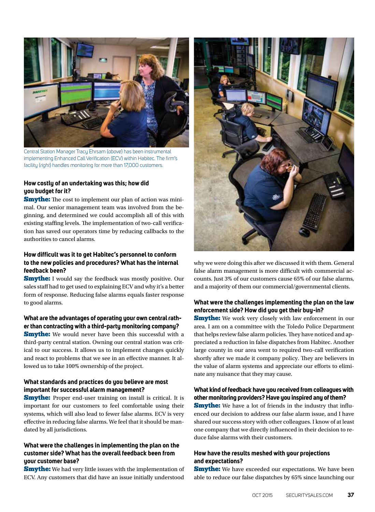

Central Station Manager Tracy Ehrsam (*above*) has been instrumental implementing Enhanced Call Verification (ECV) within Habitec. The firm's facility (*right*) handles monitoring for more than 17,000 customers.

#### **How costly of an undertaking was this; how did you budget for it?**

**Smythe:** The cost to implement our plan of action was minimal. Our senior management team was involved from the beginning, and determined we could accomplish all of this with existing staffing levels. The implementation of two-call verification has saved our operators time by reducing callbacks to the authorities to cancel alarms.

#### **How difficult was it to get Habitec's personnel to conform to the new policies and procedures? What has the internal feedback been?**

**Smythe:** I would say the feedback was mostly positive. Our sales staff had to get used to explaining ECV and why it's a better form of response. Reducing false alarms equals faster response to good alarms.

#### **What are the advantages of operating your own central rather than contracting with a third-party monitoring company?**

**Smythe:** We would never have been this successful with a third-party central station. Owning our central station was critical to our success. It allows us to implement changes quickly and react to problems that we see in an effective manner. It allowed us to take 100% ownership of the project.

#### **What standards and practices do you believe are most important for successful alarm management?**

**Smythe:** Proper end-user training on install is critical. It is important for our customers to feel comfortable using their systems, which will also lead to fewer false alarms. ECV is very effective in reducing false alarms. We feel that it should be mandated by all jurisdictions.

#### **What were the challenges in implementing the plan on the customer side? What has the overall feedback been from your customer base?**

**Smythe:** We had very little issues with the implementation of ECV. Any customers that did have an issue initially understood



why we were doing this after we discussed it with them. General false alarm management is more difficult with commercial accounts. Just 3% of our customers cause 65% of our false alarms, and a majority of them our commercial/governmental clients.

#### **What were the challenges implementing the plan on the law enforcement side? How did you get their buy-in?**

**Smythe:** We work very closely with law enforcement in our area. I am on a committee with the Toledo Police Department that helps review false alarm policies. They have noticed and appreciated a reduction in false dispatches from Habitec. Another large county in our area went to required two-call verification shortly after we made it company policy. They are believers in the value of alarm systems and appreciate our efforts to eliminate any nuisance that they may cause.

#### **What kind of feedback have you received from colleagues with other monitoring providers? Have you inspired any of them?**

**Smythe:** We have a lot of friends in the industry that influenced our decision to address our false alarm issue, and I have shared our success story with other colleagues. I know of at least one company that we directly influenced in their decision to reduce false alarms with their customers.

#### **How have the results meshed with your projections and expectations?**

**Smythe:** We have exceeded our expectations. We have been able to reduce our false dispatches by 65% since launching our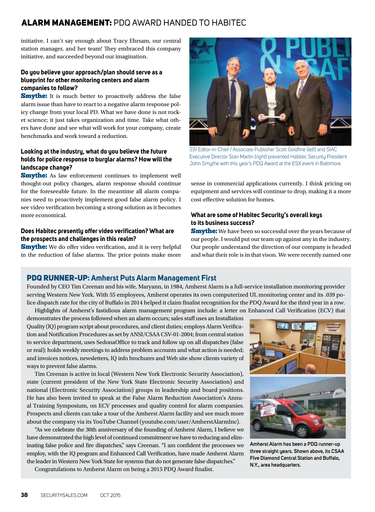#### ALARM MANAGEMENT: PDQ AWARD HANDED TO HABITEC

initiative. I can't say enough about Tracy Ehrsam, our central station manager, and her team! They embraced this company initiative, and succeeded beyond our imagination.

#### **Do you believe your approach/plan should serve as a blueprint for other monitoring centers and alarm companies to follow?**

**Smythe:** It is much better to proactively address the false alarm issue than have to react to a negative alarm response policy change from your local PD. What we have done is not rocket science; it just takes organization and time. Take what others have done and see what will work for your company, create benchmarks and work toward a reduction.

#### **Looking at the industry, what do you believe the future holds for police response to burglar alarms? How will the landscape change?**

**Smythe:** As law enforcement continues to implement well thought-out policy changes, alarm response should continue for the foreseeable future. In the meantime all alarm companies need to proactively implement good false alarm policy. I see video verification becoming a strong solution as it becomes more economical.

#### **Does Habitec presently offer video verification? What are the prospects and challenges in this realm?**

**Smythe:** We do offer video verification, and it is very helpful in the reduction of false alarms. The price points make more



*SSI* Editor-in-Chief / Associate Publisher Scott Goldfine (*left*) and SIAC Executive Director Stan Martin (*right*) presented Habitec Security President John Smythe with this year's PDQ Award at the ESX event in Baltimore.

sense in commercial applications currently. I think pricing on equipment and services will continue to drop, making it a more cost-effective solution for homes.

#### **What are some of Habitec Security's overall keys to its business success?**

**Smythe:** We have been so successful over the years because of our people. I would put our team up against any in the industry. Our people understand the direction of our company is headed and what their role is in that vison. We were recently named one

#### PDQ RUNNER-UP**: Amherst Puts Alarm Management First**

Founded by CEO Tim Creenan and his wife, Maryann, in 1984, Amherst Alarm is a full-service installation monitoring provider serving Western New York. With 55 employees, Amherst operates its own computerized UL monitoring center and its .039 police dispatch rate for the city of Buffalo in 2014 helped it claim finalist recognition for the PDQ Award for the third year in a row. Highlights of Amherst's fastidious alarm management program include: a letter on Enhanced Call Verification (ECV) that

demonstrates the process followed when an alarm occurs; sales staff uses an Installation Quality (lQ) program script about procedures, and client duties; employs Alarm Verification and Notification Procedures as set by ANSI/CSAA CSV-01-2004; from central station to service department, uses SedonaOffice to track and follow up on all dispatches (false or real); holds weekly meetings to address problem accounts and what action is needed; and invoices notices, newsletters, IQ info brochures and Web site show clients variety of ways to prevent false alarms.

Tim Creenan is active in local (Western New York Electronic Security Association), state (current president of the New York State Electronic Security Association) and national (Electronic Security Association) groups in leadership and board positions. He has also been invited to speak at the False Alarm Reduction Association's Annual Training Symposium, on ECV processes and quality control for alarm companies. Prospects and clients can take a tour of the Amherst Alarm facility and see much more about the company via its YouTube Channel (youtube.com/user/AmherstAlarmInc).

"As we celebrate the 30th anniversary of the founding of Amherst Alarm, I believe we have demonstrated the high level of continued commitment we have to reducing and eliminating false police and fire dispatches," says Creenan. "I am confident the processes we employ, with the IQ program and Enhanced Call Verification, have made Amherst Alarm the leader in Western New York State for systems that do not generate false dispatches."

Congratulations to Amherst Alarm on being a 2015 PDQ Award finalist.



**Amherst Alarm has been a PDQ runner-up three straight years. Shown above, its CSAA FIve Diamond Central Station and Buffalo, N.Y., area headquarters.**